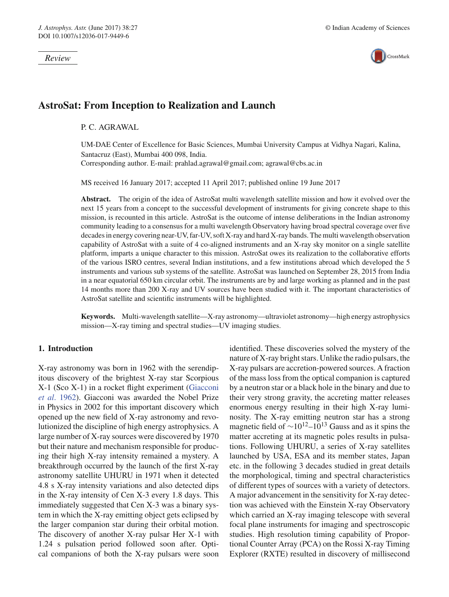*Review*



# **AstroSat: From Inception to Realization and Launch**

P. C. AGRAWAL

UM-DAE Center of Excellence for Basic Sciences, Mumbai University Campus at Vidhya Nagari, Kalina, Santacruz (East), Mumbai 400 098, India. Corresponding author. E-mail: prahlad.agrawal@gmail.com; agrawal@cbs.ac.in

MS received 16 January 2017; accepted 11 April 2017; published online 19 June 2017

**Abstract.** The origin of the idea of AstroSat multi wavelength satellite mission and how it evolved over the next 15 years from a concept to the successful development of instruments for giving concrete shape to this mission, is recounted in this article. AstroSat is the outcome of intense deliberations in the Indian astronomy community leading to a consensus for a multi wavelength Observatory having broad spectral coverage over five decades in energy covering near-UV, far-UV, soft X-ray and hard X-ray bands. The multi wavelength observation capability of AstroSat with a suite of 4 co-aligned instruments and an X-ray sky monitor on a single satellite platform, imparts a unique character to this mission. AstroSat owes its realization to the collaborative efforts of the various ISRO centres, several Indian institutions, and a few institutions abroad which developed the 5 instruments and various sub systems of the satellite. AstroSat was launched on September 28, 2015 from India in a near equatorial 650 km circular orbit. The instruments are by and large working as planned and in the past 14 months more than 200 X-ray and UV sources have been studied with it. The important characteristics of AstroSat satellite and scientific instruments will be highlighted.

**Keywords.** Multi-wavelength satellite—X-ray astronomy—ultraviolet astronomy—high energy astrophysics mission—X-ray timing and spectral studies—UV imaging studies.

### **1. Introduction**

X-ray astronomy was born in 1962 with the serendipitous discovery of the brightest X-ray star Scorpious X-1 (Sco X-1) in a rocket flight experiment (Giacconi *et al*. 1962). Giacconi was awarded the Nobel Prize in Physics in 2002 for this important discovery which opened up the new field of X-ray astronomy and revolutionized the discipline of high energy astrophysics. A large number of X-ray sources were discovered by 1970 but their nature and mechanism responsible for producing their high X-ray intensity remained a mystery. A breakthrough occurred by the launch of the first X-ray astronomy satellite UHURU in 1971 when it detected 4.8 s X-ray intensity variations and also detected dips in the X-ray intensity of Cen X-3 every 1.8 days. This immediately suggested that Cen X-3 was a binary system in which the X-ray emitting object gets eclipsed by the larger companion star during their orbital motion. The discovery of another X-ray pulsar Her X-1 with 1.24 s pulsation period followed soon after. Optical companions of both the X-ray pulsars were soon identified. These discoveries solved the mystery of the nature of X-ray bright stars. Unlike the radio pulsars, the X-ray pulsars are accretion-powered sources. A fraction of the mass loss from the optical companion is captured by a neutron star or a black hole in the binary and due to their very strong gravity, the accreting matter releases enormous energy resulting in their high X-ray luminosity. The X-ray emitting neutron star has a strong magnetic field of  $\sim 10^{12}$ – $10^{13}$  Gauss and as it spins the matter accreting at its magnetic poles results in pulsations. Following UHURU, a series of X-ray satellites launched by USA, ESA and its member states, Japan etc. in the following 3 decades studied in great details the morphological, timing and spectral characteristics of different types of sources with a variety of detectors. A major advancement in the sensitivity for X-ray detection was achieved with the Einstein X-ray Observatory which carried an X-ray imaging telescope with several focal plane instruments for imaging and spectroscopic studies. High resolution timing capability of Proportional Counter Array (PCA) on the Rossi X-ray Timing Explorer (RXTE) resulted in discovery of millisecond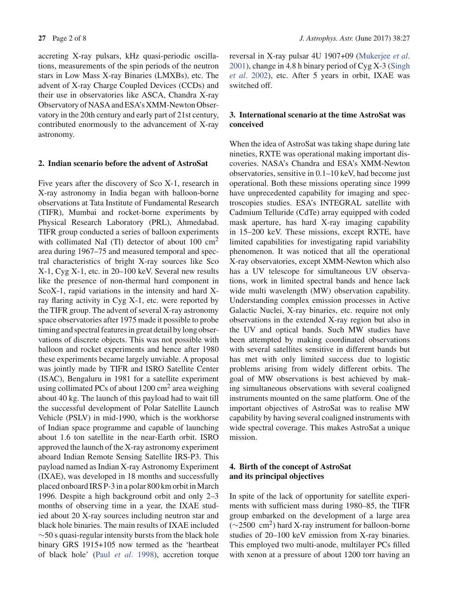accreting X-ray pulsars, kHz quasi-periodic oscillations, measurements of the spin periods of the neutron stars in Low Mass X-ray Binaries (LMXBs), etc. The advent of X-ray Charge Coupled Devices (CCDs) and their use in observatories like ASCA, Chandra X-ray Observatory of NASA and ESA's XMM-Newton Observatory in the 20th century and early part of 21st century, contributed enormously to the advancement of X-ray astronomy.

### **2. Indian scenario before the advent of AstroSat**

Five years after the discovery of Sco X-1, research in X-ray astronomy in India began with balloon-borne observations at Tata Institute of Fundamental Research (TIFR), Mumbai and rocket-borne experiments by Physical Research Laboratory (PRL), Ahmedabad. TIFR group conducted a series of balloon experiments with collimated NaI (Tl) detector of about  $100 \text{ cm}^2$ area during 1967–75 and measured temporal and spectral characteristics of bright X-ray sources like Sco X-1, Cyg X-1, etc. in 20–100 keV. Several new results like the presence of non-thermal hard component in ScoX-1, rapid variations in the intensity and hard Xray flaring activity in Cyg X-1, etc. were reported by the TIFR group. The advent of several X-ray astronomy space observatories after 1975 made it possible to probe timing and spectral features in great detail by long observations of discrete objects. This was not possible with balloon and rocket experiments and hence after 1980 these experiments became largely unviable. A proposal was jointly made by TIFR and ISRO Satellite Center (ISAC), Bengaluru in 1981 for a satellite experiment using collimated PCs of about  $1200 \text{ cm}^2$  area weighing about 40 kg. The launch of this payload had to wait till the successful development of Polar Satellite Launch Vehicle (PSLV) in mid-1990, which is the workhorse of Indian space programme and capable of launching about 1.6 ton satellite in the near-Earth orbit. ISRO approved the launch of the X-ray astronomy experiment aboard Indian Remote Sensing Satellite IRS-P3. This payload named as Indian X-ray Astronomy Experiment (IXAE), was developed in 18 months and successfully placed onboard IRS P-3 in a polar 800 km orbit in March 1996. Despite a high background orbit and only 2–3 months of observing time in a year, the IXAE studied about 20 X-ray sources including neutron star and black hole binaries. The main results of IXAE included ∼50 s quasi-regular intensity bursts from the black hole binary GRS 1915+105 now termed as the 'heartbeat of black hole' (Paul *et al*. 1998), accretion torque reversal in X-ray pulsar 4U 1907+09 (Mukerjee *et al*. 2001), change in 4.8 h binary period of Cyg X-3 (Singh *et al*. 2002), etc. After 5 years in orbit, IXAE was switched off.

# **3. International scenario at the time AstroSat was conceived**

When the idea of AstroSat was taking shape during late nineties, RXTE was operational making important discoveries. NASA's Chandra and ESA's XMM-Newton observatories, sensitive in 0.1–10 keV, had become just operational. Both these missions operating since 1999 have unprecedented capability for imaging and spectroscopies studies. ESA's INTEGRAL satellite with Cadmium Telluride (CdTe) array equipped with coded mask aperture, has hard X-ray imaging capability in 15–200 keV. These missions, except RXTE, have limited capabilities for investigating rapid variability phenomenon. It was noticed that all the operational X-ray observatories, except XMM-Newton which also has a UV telescope for simultaneous UV observations, work in limited spectral bands and hence lack wide multi wavelength (MW) observation capability. Understanding complex emission processes in Active Galactic Nuclei, X-ray binaries, etc. require not only observations in the extended X-ray region but also in the UV and optical bands. Such MW studies have been attempted by making coordinated observations with several satellites sensitive in different bands but has met with only limited success due to logistic problems arising from widely different orbits. The goal of MW observations is best achieved by making simultaneous observations with several coaligned instruments mounted on the same platform. One of the important objectives of AstroSat was to realise MW capability by having several coaligned instruments with wide spectral coverage. This makes AstroSat a unique mission.

# **4. Birth of the concept of AstroSat and its principal objectives**

In spite of the lack of opportunity for satellite experiments with sufficient mass during 1980–85, the TIFR group embarked on the development of a large area  $(\sim 2500 \text{ cm}^2)$  hard X-ray instrument for balloon-borne studies of 20–100 keV emission from X-ray binaries. This employed two multi-anode, multilayer PCs filled with xenon at a pressure of about 1200 torr having an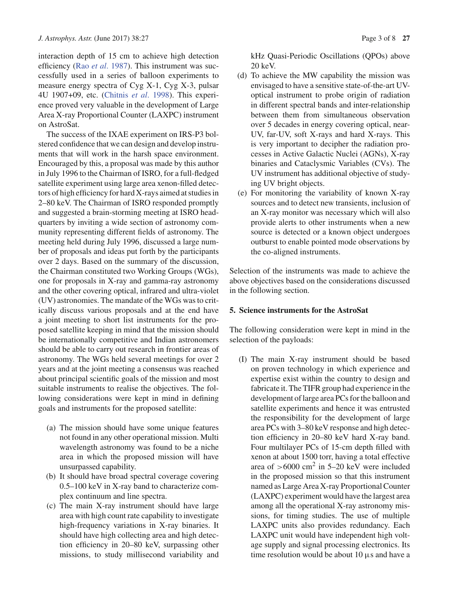interaction depth of 15 cm to achieve high detection efficiency (Rao *et al*. 1987). This instrument was successfully used in a series of balloon experiments to measure energy spectra of Cyg X-1, Cyg X-3, pulsar 4U 1907+09, etc. (Chitnis *et al*. 1998). This experience proved very valuable in the development of Large Area X-ray Proportional Counter (LAXPC) instrument on AstroSat.

The success of the IXAE experiment on IRS-P3 bolstered confidence that we can design and develop instruments that will work in the harsh space environment. Encouraged by this, a proposal was made by this author in July 1996 to the Chairman of ISRO, for a full-fledged satellite experiment using large area xenon-filled detectors of high efficiency for hard X-rays aimed at studies in 2–80 keV. The Chairman of ISRO responded promptly and suggested a brain-storming meeting at ISRO headquarters by inviting a wide section of astronomy community representing different fields of astronomy. The meeting held during July 1996, discussed a large number of proposals and ideas put forth by the participants over 2 days. Based on the summary of the discussion, the Chairman constituted two Working Groups (WGs), one for proposals in X-ray and gamma-ray astronomy and the other covering optical, infrared and ultra-violet (UV) astronomies. The mandate of the WGs was to critically discuss various proposals and at the end have a joint meeting to short list instruments for the proposed satellite keeping in mind that the mission should be internationally competitive and Indian astronomers should be able to carry out research in frontier areas of astronomy. The WGs held several meetings for over 2 years and at the joint meeting a consensus was reached about principal scientific goals of the mission and most suitable instruments to realise the objectives. The following considerations were kept in mind in defining goals and instruments for the proposed satellite:

- (a) The mission should have some unique features not found in any other operational mission. Multi wavelength astronomy was found to be a niche area in which the proposed mission will have unsurpassed capability.
- (b) It should have broad spectral coverage covering 0.5–100 keV in X-ray band to characterize complex continuum and line spectra.
- (c) The main X-ray instrument should have large area with high count rate capability to investigate high-frequency variations in X-ray binaries. It should have high collecting area and high detection efficiency in 20–80 keV, surpassing other missions, to study millisecond variability and

kHz Quasi-Periodic Oscillations (QPOs) above 20 keV.

- (d) To achieve the MW capability the mission was envisaged to have a sensitive state-of-the-art UVoptical instrument to probe origin of radiation in different spectral bands and inter-relationship between them from simultaneous observation over 5 decades in energy covering optical, near-UV, far-UV, soft X-rays and hard X-rays. This is very important to decipher the radiation processes in Active Galactic Nuclei (AGNs), X-ray binaries and Cataclysmic Variables (CVs). The UV instrument has additional objective of studying UV bright objects.
- (e) For monitoring the variability of known X-ray sources and to detect new transients, inclusion of an X-ray monitor was necessary which will also provide alerts to other instruments when a new source is detected or a known object undergoes outburst to enable pointed mode observations by the co-aligned instruments.

Selection of the instruments was made to achieve the above objectives based on the considerations discussed in the following section.

### **5. Science instruments for the AstroSat**

The following consideration were kept in mind in the selection of the payloads:

(I) The main X-ray instrument should be based on proven technology in which experience and expertise exist within the country to design and fabricate it. The TIFR group had experience in the development of large area PCs for the balloon and satellite experiments and hence it was entrusted the responsibility for the development of large area PCs with 3–80 keV response and high detection efficiency in 20–80 keV hard X-ray band. Four multilayer PCs of 15-cm depth filled with xenon at about 1500 torr, having a total effective area of  $>6000$  cm<sup>2</sup> in 5–20 keV were included in the proposed mission so that this instrument named as Large Area X-ray Proportional Counter (LAXPC) experiment would have the largest area among all the operational X-ray astronomy missions, for timing studies. The use of multiple LAXPC units also provides redundancy. Each LAXPC unit would have independent high voltage supply and signal processing electronics. Its time resolution would be about  $10 \mu s$  and have a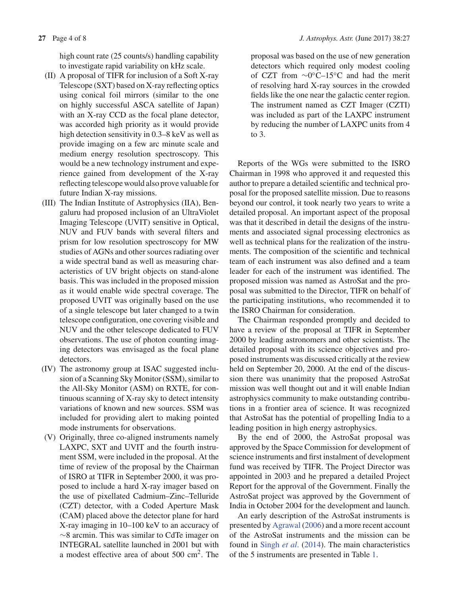high count rate (25 counts/s) handling capability to investigate rapid variability on kHz scale.

- (II) A proposal of TIFR for inclusion of a Soft X-ray Telescope (SXT) based on X-ray reflecting optics using conical foil mirrors (similar to the one on highly successful ASCA satellite of Japan) with an X-ray CCD as the focal plane detector, was accorded high priority as it would provide high detection sensitivity in 0.3–8 keV as well as provide imaging on a few arc minute scale and medium energy resolution spectroscopy. This would be a new technology instrument and experience gained from development of the X-ray reflecting telescope would also prove valuable for future Indian X-ray missions.
- (III) The Indian Institute of Astrophysics (IIA), Bengaluru had proposed inclusion of an UltraViolet Imaging Telescope (UVIT) sensitive in Optical, NUV and FUV bands with several filters and prism for low resolution spectroscopy for MW studies of AGNs and other sources radiating over a wide spectral band as well as measuring characteristics of UV bright objects on stand-alone basis. This was included in the proposed mission as it would enable wide spectral coverage. The proposed UVIT was originally based on the use of a single telescope but later changed to a twin telescope configuration, one covering visible and NUV and the other telescope dedicated to FUV observations. The use of photon counting imaging detectors was envisaged as the focal plane detectors.
- (IV) The astronomy group at ISAC suggested inclusion of a Scanning Sky Monitor (SSM), similar to the All-Sky Monitor (ASM) on RXTE, for continuous scanning of X-ray sky to detect intensity variations of known and new sources. SSM was included for providing alert to making pointed mode instruments for observations.
- (V) Originally, three co-aligned instruments namely LAXPC, SXT and UVIT and the fourth instrument SSM, were included in the proposal. At the time of review of the proposal by the Chairman of ISRO at TIFR in September 2000, it was proposed to include a hard X-ray imager based on the use of pixellated Cadmium–Zinc–Telluride (CZT) detector, with a Coded Aperture Mask (CAM) placed above the detector plane for hard X-ray imaging in 10–100 keV to an accuracy of ∼8 arcmin. This was similar to CdTe imager on INTEGRAL satellite launched in 2001 but with a modest effective area of about 500 cm<sup>2</sup>. The

proposal was based on the use of new generation detectors which required only modest cooling of CZT from ∼0◦C–15◦C and had the merit of resolving hard X-ray sources in the crowded fields like the one near the galactic center region. The instrument named as CZT Imager (CZTI) was included as part of the LAXPC instrument by reducing the number of LAXPC units from 4 to 3.

Reports of the WGs were submitted to the ISRO Chairman in 1998 who approved it and requested this author to prepare a detailed scientific and technical proposal for the proposed satellite mission. Due to reasons beyond our control, it took nearly two years to write a detailed proposal. An important aspect of the proposal was that it described in detail the designs of the instruments and associated signal processing electronics as well as technical plans for the realization of the instruments. The composition of the scientific and technical team of each instrument was also defined and a team leader for each of the instrument was identified. The proposed mission was named as AstroSat and the proposal was submitted to the Director, TIFR on behalf of the participating institutions, who recommended it to the ISRO Chairman for consideration.

The Chairman responded promptly and decided to have a review of the proposal at TIFR in September 2000 by leading astronomers and other scientists. The detailed proposal with its science objectives and proposed instruments was discussed critically at the review held on September 20, 2000. At the end of the discussion there was unanimity that the proposed AstroSat mission was well thought out and it will enable Indian astrophysics community to make outstanding contributions in a frontier area of science. It was recognized that AstroSat has the potential of propelling India to a leading position in high energy astrophysics.

By the end of 2000, the AstroSat proposal was approved by the Space Commission for development of science instruments and first instalment of development fund was received by TIFR. The Project Director was appointed in 2003 and he prepared a detailed Project Report for the approval of the Government. Finally the AstroSat project was approved by the Government of India in October 2004 for the development and launch.

An early description of the AstroSat instruments is presented by Agrawal (2006) and a more recent account of the AstroSat instruments and the mission can be found in Singh *et al*. (2014). The main characteristics of the 5 instruments are presented in Table 1.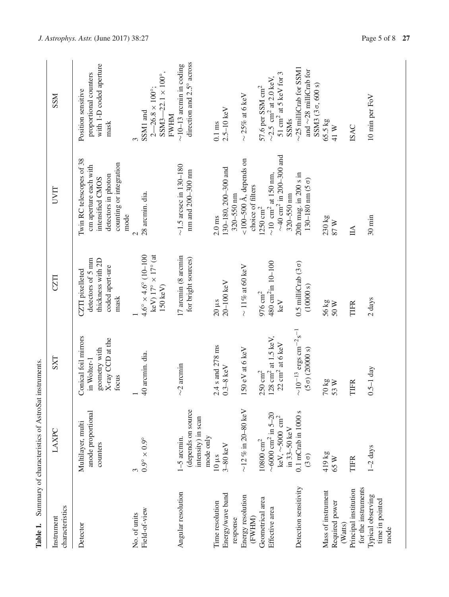| Table 1.                                        | Summary of characteristics of AstroSat instruments.                                                         |                                                                                               |                                                                                                          |                                                                                                                            |                                                                                                                     |
|-------------------------------------------------|-------------------------------------------------------------------------------------------------------------|-----------------------------------------------------------------------------------------------|----------------------------------------------------------------------------------------------------------|----------------------------------------------------------------------------------------------------------------------------|---------------------------------------------------------------------------------------------------------------------|
| characteristics<br>Instrument                   | LAXPC                                                                                                       | <b>SXT</b>                                                                                    | CZTI                                                                                                     | <b>LIAN</b>                                                                                                                | <b>NSS</b>                                                                                                          |
| Detector                                        | anode proportional<br>Multilayer, multi<br>counters                                                         | Conical foil mirrors<br>X-ray CCD at the<br>geometry with<br>in Wolter-1<br>focus             | detectors of 5 mm<br>thickness with 2D<br>coded apert-ure<br>CZTI pixelleted<br>mask                     | Twin RC telescopes of 38<br>counting or integration<br>cm aperture each with<br>detectors in photon<br>intensified CMOS    | with 1-D coded aperture<br>proportional counters<br>Position sensitive<br>mask                                      |
| Field-of-view<br>No. of units                   | $0.9^{\circ} \times 0.9^{\circ}$<br>3                                                                       | 40 arcmin. dia.                                                                               | $4.6^{\circ} \times 4.6^{\circ}$ (10-100<br>keV) $17^{\circ} \times 17^{\circ}$ (at<br>$150 \text{ keV}$ | 28 arcmin. dia.<br>mode<br>$\mathrel{\sim}$                                                                                | SSM3-22.1 $\times$ 100°,<br>$2 - 26.8 \times 100^{\circ}$ ;<br>SSM1 and<br><b>FWHM</b><br>3                         |
| Angular resolution                              | (depends on source<br>intensity) in scan<br>mode only<br>$1-5$ arcmin.                                      | $\sim$ 2 arcmin                                                                               | 17 arcmin (8 arcmin<br>for bright sources)                                                               | $\sim$ 1.5 arcsec in 130-180<br>nm and 200-300 nm                                                                          | direction and 2.5° across<br>$\sim$ 10-13 arcmin in coding                                                          |
| Energy/wave band<br>Time resolution<br>response | $3-80$ keV<br>$10 \mu s$                                                                                    | 2.4 s and 278 ms<br>$0.3 - 8$ keV                                                             | $20-100$ keV<br>$20 \mu s$                                                                               | 130-180, 200-300 and<br>$320 - 550$ nm<br>$2.0$ ms                                                                         | $2.5 - 10$ keV<br>$0.1 \text{ ms}$                                                                                  |
| Energy resolution<br>(FWHM)                     | $\sim$ 12 % in 20-80 keV                                                                                    | $150 \text{ eV}$ at 6 keV                                                                     | $\sim$ 11% at 60 keV                                                                                     | <100-500 Å, depends on<br>choice of filters                                                                                | $\sim$ 25% at 6 keV                                                                                                 |
| Geometrical area<br>Effective area              | $\sim\!\!6000$ cm <sup>2</sup> in 5–20<br>keV, $\sim$ 5000 $\rm cm^2$<br>in 33-50 keV<br>$10800~{\rm cm}^2$ | $128 \text{ cm}^2$ at $1.5 \text{ keV}$<br>$22 \text{ cm}^2$ at 6 keV<br>$250\ \mathrm{cm^2}$ | 480 cm <sup>2</sup> in 10-100<br>$976\ \mathrm{cm^2}$<br>$\rm\,keV$                                      | $\sim40$ cm <sup>2</sup> in 200–300 and<br>$\sim$ 10 cm <sup>2</sup> at 150 nm,<br>$320 - 550$ nm<br>$1250\ \mathrm{cm^2}$ | 51 $\mathrm{cm}^2$ at 5 keV for 3<br>$\sim$ 2.5 cm <sup>2</sup> at 2.0 keV,<br>57.6 per SSM cm <sup>2</sup><br>SSMs |
| Detection sensitivity                           | $0.1$ mCrab in $1000$ s<br>$(3 \sigma)$                                                                     | $\sim\!10^{-13}\;\mathrm{ergs}\;\mathrm{cm}^{-2}\mathrm{s}^{-1}$<br>$(5 \sigma) (20000 s)$    | 0.5 milliCrab $(3 \sigma)$<br>(10000 s)                                                                  | 20th mag. in 200 s in<br>$130 - 180$ nm $(5 \sigma)$                                                                       | $\sim$ 25 milliCrab for SSM1<br>and $\sim$ 28 milliCrab for<br>SSM3 (3σ, 600 s)                                     |
| Mass of instrument<br>Required power<br>(Watts) | 419 kg<br>65 W                                                                                              | $70\,\mathrm{kg}$<br>53 W                                                                     | 56 kg<br>50 W                                                                                            | 230 kg<br>87 W                                                                                                             | 65.5 kg<br>41 W                                                                                                     |
| for the instruments<br>Principal institution    | TIFR                                                                                                        | <b>TIFR</b>                                                                                   | <b>TIFR</b>                                                                                              | $\mathbb{H}$                                                                                                               | <b>ISAC</b>                                                                                                         |
| Typical observing<br>time in pointed<br>mode    | $1-2$ days                                                                                                  | $0.5-1$ day                                                                                   | 2 days                                                                                                   | $30 \text{ min}$                                                                                                           | 10 min per FoV                                                                                                      |

*J. Astrophys. Astr.* (June 2017) 38:27 Page 5 of 8 **27**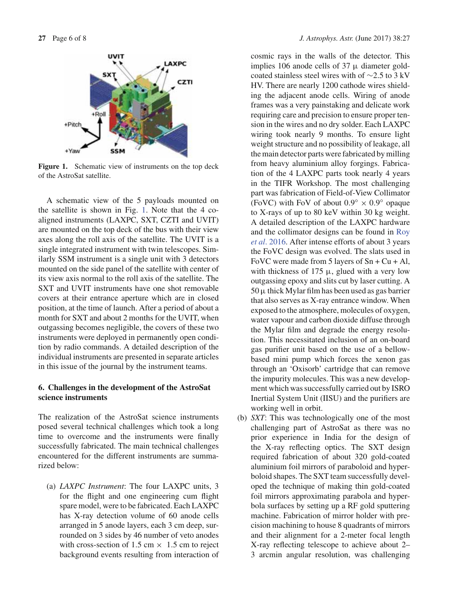

**Figure 1.** Schematic view of instruments on the top deck of the AstroSat satellite.

A schematic view of the 5 payloads mounted on the satellite is shown in Fig. 1. Note that the 4 coaligned instruments (LAXPC, SXT, CZTI and UVIT) are mounted on the top deck of the bus with their view axes along the roll axis of the satellite. The UVIT is a single integrated instrument with twin telescopes. Similarly SSM instrument is a single unit with 3 detectors mounted on the side panel of the satellite with center of its view axis normal to the roll axis of the satellite. The SXT and UVIT instruments have one shot removable covers at their entrance aperture which are in closed position, at the time of launch. After a period of about a month for SXT and about 2 months for the UVIT, when outgassing becomes negligible, the covers of these two instruments were deployed in permanently open condition by radio commands. A detailed description of the individual instruments are presented in separate articles in this issue of the journal by the instrument teams.

# **6. Challenges in the development of the AstroSat science instruments**

The realization of the AstroSat science instruments posed several technical challenges which took a long time to overcome and the instruments were finally successfully fabricated. The main technical challenges encountered for the different instruments are summarized below:

(a) *LAXPC Instrument*: The four LAXPC units, 3 for the flight and one engineering cum flight spare model, were to be fabricated. Each LAXPC has X-ray detection volume of 60 anode cells arranged in 5 anode layers, each 3 cm deep, surrounded on 3 sides by 46 number of veto anodes with cross-section of 1.5 cm  $\times$  1.5 cm to reject background events resulting from interaction of cosmic rays in the walls of the detector. This implies 106 anode cells of 37  $\mu$  diameter goldcoated stainless steel wires with of ∼2.5 to 3 kV HV. There are nearly 1200 cathode wires shielding the adjacent anode cells. Wiring of anode frames was a very painstaking and delicate work requiring care and precision to ensure proper tension in the wires and no dry solder. Each LAXPC wiring took nearly 9 months. To ensure light weight structure and no possibility of leakage, all the main detector parts were fabricated by milling from heavy aluminium alloy forgings. Fabrication of the 4 LAXPC parts took nearly 4 years in the TIFR Workshop. The most challenging part was fabrication of Field-of-View Collimator (FoVC) with FoV of about  $0.9^\circ \times 0.9^\circ$  opaque to X-rays of up to 80 keV within 30 kg weight. A detailed description of the LAXPC hardware and the collimator designs can be found in Roy *et al*. 2016. After intense efforts of about 3 years the FoVC design was evolved. The slats used in FoVC were made from 5 layers of  $Sn + Cu + Al$ , with thickness of 175  $\mu$ , glued with a very low outgassing epoxy and slits cut by laser cutting. A  $50 \mu$  thick Mylar film has been used as gas barrier that also serves as X-ray entrance window. When exposed to the atmosphere, molecules of oxygen, water vapour and carbon dioxide diffuse through the Mylar film and degrade the energy resolution. This necessitated inclusion of an on-board gas purifier unit based on the use of a bellowbased mini pump which forces the xenon gas through an 'Oxisorb' cartridge that can remove the impurity molecules. This was a new development which was successfully carried out by ISRO Inertial System Unit (IISU) and the purifiers are working well in orbit.

(b) *SXT*: This was technologically one of the most challenging part of AstroSat as there was no prior experience in India for the design of the X-ray reflecting optics. The SXT design required fabrication of about 320 gold-coated aluminium foil mirrors of paraboloid and hyperboloid shapes. The SXT team successfully developed the technique of making thin gold-coated foil mirrors approximating parabola and hyperbola surfaces by setting up a RF gold sputtering machine. Fabrication of mirror holder with precision machining to house 8 quadrants of mirrors and their alignment for a 2-meter focal length X-ray reflecting telescope to achieve about 2– 3 arcmin angular resolution, was challenging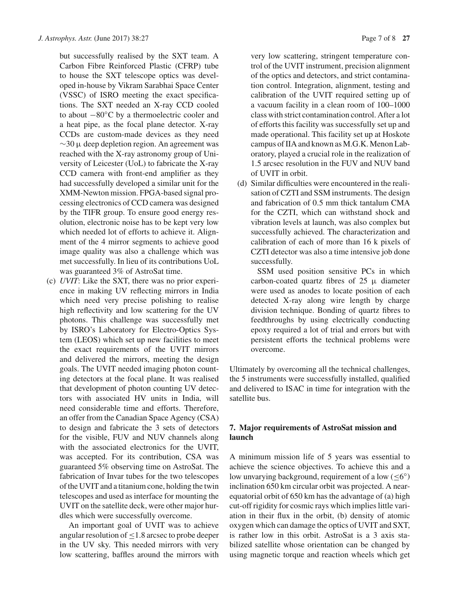but successfully realised by the SXT team. A Carbon Fibre Reinforced Plastic (CFRP) tube to house the SXT telescope optics was developed in-house by Vikram Sarabhai Space Center (VSSC) of ISRO meeting the exact specifications. The SXT needed an X-ray CCD cooled to about −80◦C by a thermoelectric cooler and a heat pipe, as the focal plane detector. X-ray CCDs are custom-made devices as they need  $\sim$ 30 µ deep depletion region. An agreement was reached with the X-ray astronomy group of University of Leicester (UoL) to fabricate the X-ray CCD camera with front-end amplifier as they had successfully developed a similar unit for the XMM-Newton mission. FPGA-based signal processing electronics of CCD camera was designed by the TIFR group. To ensure good energy resolution, electronic noise has to be kept very low which needed lot of efforts to achieve it. Alignment of the 4 mirror segments to achieve good image quality was also a challenge which was met successfully. In lieu of its contributions UoL was guaranteed 3% of AstroSat time.

(c) *UVIT*: Like the SXT, there was no prior experience in making UV reflecting mirrors in India which need very precise polishing to realise high reflectivity and low scattering for the UV photons. This challenge was successfully met by ISRO's Laboratory for Electro-Optics System (LEOS) which set up new facilities to meet the exact requirements of the UVIT mirrors and delivered the mirrors, meeting the design goals. The UVIT needed imaging photon counting detectors at the focal plane. It was realised that development of photon counting UV detectors with associated HV units in India, will need considerable time and efforts. Therefore, an offer from the Canadian Space Agency (CSA) to design and fabricate the 3 sets of detectors for the visible, FUV and NUV channels along with the associated electronics for the UVIT, was accepted. For its contribution, CSA was guaranteed 5% observing time on AstroSat. The fabrication of Invar tubes for the two telescopes of the UVIT and a titanium cone, holding the twin telescopes and used as interface for mounting the UVIT on the satellite deck, were other major hurdles which were successfully overcome.

An important goal of UVIT was to achieve angular resolution of  $\leq$ 1.8 arcsec to probe deeper in the UV sky. This needed mirrors with very low scattering, baffles around the mirrors with very low scattering, stringent temperature control of the UVIT instrument, precision alignment of the optics and detectors, and strict contamination control. Integration, alignment, testing and calibration of the UVIT required setting up of a vacuum facility in a clean room of 100–1000 class with strict contamination control. After a lot of efforts this facility was successfully set up and made operational. This facility set up at Hoskote campus of IIA and known as M.G.K. Menon Laboratory, played a crucial role in the realization of 1.5 arcsec resolution in the FUV and NUV band of UVIT in orbit.

(d) Similar difficulties were encountered in the realisation of CZTI and SSM instruments. The design and fabrication of 0.5 mm thick tantalum CMA for the CZTI, which can withstand shock and vibration levels at launch, was also complex but successfully achieved. The characterization and calibration of each of more than 16 k pixels of CZTI detector was also a time intensive job done successfully.

SSM used position sensitive PCs in which carbon-coated quartz fibres of  $25 \mu$  diameter were used as anodes to locate position of each detected X-ray along wire length by charge division technique. Bonding of quartz fibres to feedthroughs by using electrically conducting epoxy required a lot of trial and errors but with persistent efforts the technical problems were overcome.

Ultimately by overcoming all the technical challenges, the 5 instruments were successfully installed, qualified and delivered to ISAC in time for integration with the satellite bus.

# **7. Major requirements of AstroSat mission and launch**

A minimum mission life of 5 years was essential to achieve the science objectives. To achieve this and a low unvarying background, requirement of a low ( $\leq 6°$ ) inclination 650 km circular orbit was projected. A nearequatorial orbit of 650 km has the advantage of (a) high cut-off rigidity for cosmic rays which implies little variation in their flux in the orbit, (b) density of atomic oxygen which can damage the optics of UVIT and SXT, is rather low in this orbit. AstroSat is a 3 axis stabilized satellite whose orientation can be changed by using magnetic torque and reaction wheels which get